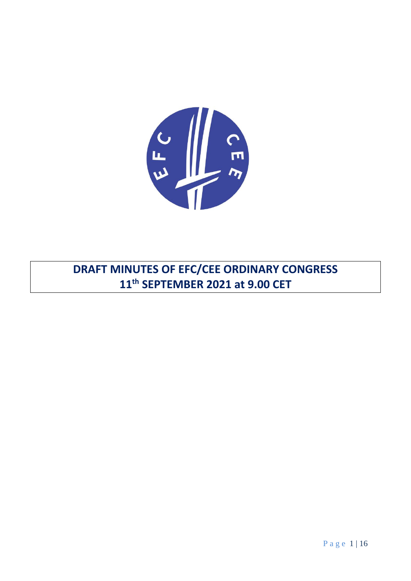

**DRAFT MINUTES OF EFC/CEE ORDINARY CONGRESS 11th SEPTEMBER 2021 at 9.00 CET**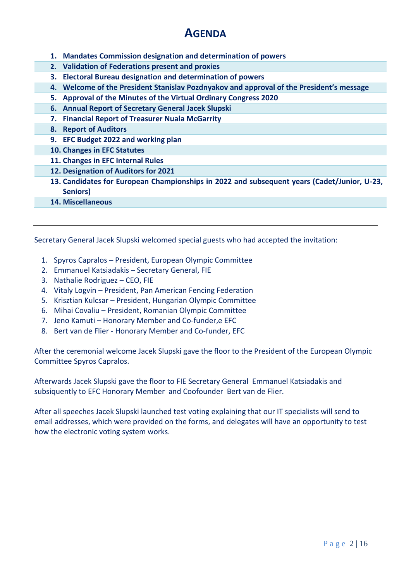# **AGENDA**

- **1. Mandates Commission designation and determination of powers**
- **2. Validation of Federations present and proxies**
- **3. Electoral Bureau designation and determination of powers**
- **4. Welcome of the President Stanislav Pozdnyakov and approval of the President's message**
- **5. Approval of the Minutes of the Virtual Ordinary Congress 2020**
- **6. Annual Report of Secretary General Jacek Slupski**
- **7. Financial Report of Treasurer Nuala McGarrity**
- **8. Report of Auditors**
- **9. EFC Budget 2022 and working plan**
- **10. Changes in EFC Statutes**
- **11. Changes in EFC Internal Rules**
- **12. Designation of Auditors for 2021**
- **13. Candidates for European Championships in 2022 and subsequent years (Cadet/Junior, U-23, Seniors)**
- **14. Miscellaneous**

Secretary General Jacek Slupski welcomed special guests who had accepted the invitation:

- 1. Spyros Capralos President, European Olympic Committee
- 2. Emmanuel Katsiadakis Secretary General, FIE
- 3. Nathalie Rodriguez CEO, FIE
- 4. Vitaly Logvin President, Pan American Fencing Federation
- 5. Krisztian Kulcsar President, Hungarian Olympic Committee
- 6. Mihai Covaliu President, Romanian Olympic Committee
- 7. Jeno Kamuti Honorary Member and Co-funder,e EFC
- 8. Bert van de Flier Honorary Member and Co-funder, EFC

After the ceremonial welcome Jacek Slupski gave the floor to the President of the European Olympic Committee Spyros Capralos.

Afterwards Jacek Slupski gave the floor to FIE Secretary General Emmanuel Katsiadakis and subsiquently to EFC Honorary Member and Coofounder Bert van de Flier.

After all speeches Jacek Slupski launched test voting explaining that our IT specialists will send to email addresses, which were provided on the forms, and delegates will have an opportunity to test how the electronic voting system works.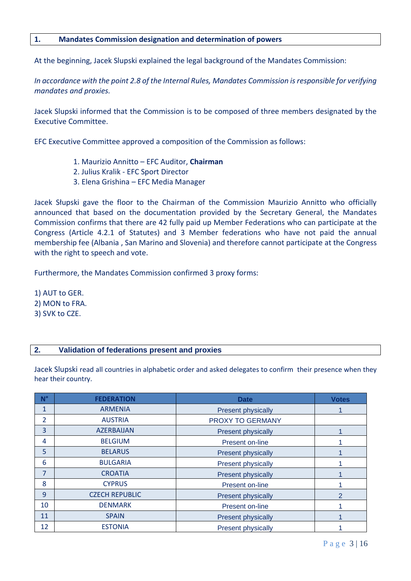## **1. Mandates Commission designation and determination of powers**

At the beginning, Jacek Slupski explained the legal background of the Mandates Commission:

*In accordance with the point 2.8 of the Internal Rules, Mandates Commission is responsible for verifying mandates and proxies.*

Jacek Slupski informed that the Commission is to be composed of three members designated by the Executive Committee.

EFC Executive Committee approved a composition of the Commission as follows:

- 1. Maurizio Annitto EFC Auditor, **Chairman**
- 2. Julius Kralik EFC Sport Director
- 3. Elena Grishina EFC Media Manager

Jacek Słupski gave the floor to the Chairman of the Commission Maurizio Annitto who officially announced that based on the documentation provided by the Secretary General, the Mandates Commission confirms that there are 42 fully paid up Member Federations who can participate at the Congress (Article 4.2.1 of Statutes) and 3 Member federations who have not paid the annual membership fee (Albania , San Marino and Slovenia) and therefore cannot participate at the Congress with the right to speech and vote.

Furthermore, the Mandates Commission confirmed 3 proxy forms:

1) AUT to GER. 2) MON to FRA. 3) SVK to CZE.

## **2. Validation of federations present and proxies**

Jacek Slupski read all countries in alphabetic order and asked delegates to confirm their presence when they hear their country.

| $N^{\circ}$    | <b>FEDERATION</b>     | <b>Date</b>               | <b>Votes</b> |
|----------------|-----------------------|---------------------------|--------------|
| 1              | <b>ARMENIA</b>        | <b>Present physically</b> |              |
| $\overline{2}$ | <b>AUSTRIA</b>        | PROXY TO GERMANY          |              |
| 3              | <b>AZERBAIJAN</b>     | <b>Present physically</b> |              |
| 4              | <b>BELGIUM</b>        | Present on-line           |              |
| 5              | <b>BELARUS</b>        | <b>Present physically</b> |              |
| 6              | <b>BULGARIA</b>       | <b>Present physically</b> |              |
| $\overline{7}$ | <b>CROATIA</b>        | <b>Present physically</b> |              |
| 8              | <b>CYPRUS</b>         | Present on-line           |              |
| 9              | <b>CZECH REPUBLIC</b> | <b>Present physically</b> |              |
| 10             | <b>DENMARK</b>        | Present on-line           |              |
| 11             | <b>SPAIN</b>          | <b>Present physically</b> |              |
| 12             | <b>ESTONIA</b>        | <b>Present physically</b> |              |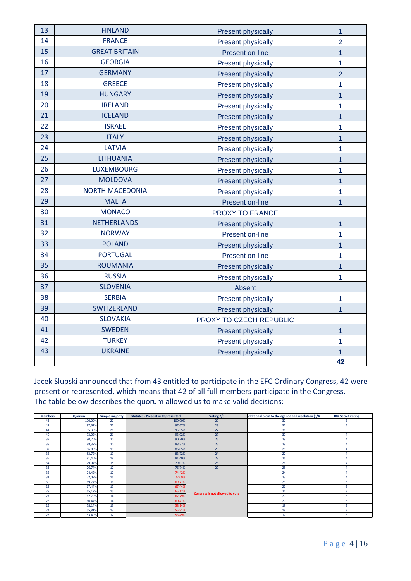| 13 | <b>FINLAND</b>         | <b>Present physically</b> | $\overline{1}$ |
|----|------------------------|---------------------------|----------------|
| 14 | <b>FRANCE</b>          | <b>Present physically</b> | $\overline{2}$ |
| 15 | <b>GREAT BRITAIN</b>   | Present on-line           | $\overline{1}$ |
| 16 | <b>GEORGIA</b>         | <b>Present physically</b> | $\mathbf{1}$   |
| 17 | <b>GERMANY</b>         | <b>Present physically</b> | $\overline{2}$ |
| 18 | <b>GREECE</b>          | Present physically        | 1              |
| 19 | <b>HUNGARY</b>         | <b>Present physically</b> | $\mathbf{1}$   |
| 20 | <b>IRELAND</b>         | <b>Present physically</b> | 1              |
| 21 | <b>ICELAND</b>         | <b>Present physically</b> | 1              |
| 22 | <b>ISRAEL</b>          | Present physically        | 1              |
| 23 | <b>ITALY</b>           | <b>Present physically</b> | $\mathbf{1}$   |
| 24 | <b>LATVIA</b>          | <b>Present physically</b> | 1              |
| 25 | <b>LITHUANIA</b>       | <b>Present physically</b> | 1              |
| 26 | <b>LUXEMBOURG</b>      | <b>Present physically</b> | 1              |
| 27 | <b>MOLDOVA</b>         | <b>Present physically</b> | $\mathbf{1}$   |
| 28 | <b>NORTH MACEDONIA</b> | <b>Present physically</b> | 1              |
| 29 | <b>MALTA</b>           | Present on-line           | $\overline{1}$ |
| 30 | <b>MONACO</b>          | PROXY TO FRANCE           |                |
| 31 | <b>NETHERLANDS</b>     | <b>Present physically</b> | $\overline{1}$ |
| 32 | <b>NORWAY</b>          | Present on-line           | $\overline{1}$ |
| 33 | <b>POLAND</b>          | <b>Present physically</b> | $\mathbf{1}$   |
| 34 | <b>PORTUGAL</b>        | Present on-line           | 1              |
| 35 | <b>ROUMANIA</b>        | <b>Present physically</b> | $\overline{1}$ |
| 36 | <b>RUSSIA</b>          | Present physically        | 1              |
| 37 | <b>SLOVENIA</b>        | Absent                    |                |
| 38 | <b>SERBIA</b>          | <b>Present physically</b> | $\overline{1}$ |
| 39 | SWITZERLAND            | <b>Present physically</b> | $\mathbf{1}$   |
| 40 | <b>SLOVAKIA</b>        | PROXY TO CZECH REPUBLIC   |                |
| 41 | <b>SWEDEN</b>          | <b>Present physically</b> | $\overline{1}$ |
| 42 | <b>TURKEY</b>          | Present physically        | 1              |
| 43 | <b>UKRAINE</b>         | <b>Present physically</b> |                |
|    |                        |                           | 42             |

Jacek Slupski announced that from 43 entitled to participate in the EFC Ordinary Congress, 42 were present or represented, which means that 42 of all full members participate in the Congress. The table below describes the quorum allowed us to make valid decisions:

| <b>Members</b> | Quorum  | <b>Simple majority</b> | <b>Statutes - Present or Represented</b> | Voting 2/3                      | Additional piont to the agenda and resolution (3/4 | 10% Secret voting |
|----------------|---------|------------------------|------------------------------------------|---------------------------------|----------------------------------------------------|-------------------|
| 43             | 100,00% | 22                     | 100,00%                                  | 29                              | 32                                                 |                   |
| 42             | 97,67%  | 22                     | 97,67%                                   | 28                              | 32                                                 |                   |
| 41             | 95,35%  | 21                     | 95,35%                                   | 27                              | 31                                                 |                   |
| 40             | 93,02%  | 21                     | 93,02%                                   | 27                              | 30                                                 |                   |
| 39             | 90,70%  | 20                     | 90,70%                                   | 26                              | 29                                                 |                   |
| 38             | 88,37%  | 20                     | 88,37%                                   | 25                              | 29                                                 |                   |
| 37             | 86,05%  | 19                     | 86,05%                                   | 25                              | 28                                                 |                   |
| 36             | 83,72%  | 19                     | 83,72%                                   | 24                              | 27                                                 |                   |
| 35             | 81,40%  | 18                     | 81,40%                                   | 23                              | 26                                                 |                   |
| 34             | 79,07%  | 18                     | 79,07%                                   | 23                              | 26                                                 |                   |
| 33             | 76,74%  | 17                     | 76,74%                                   | 22                              | 25                                                 |                   |
| 32             | 74,42%  | 17                     | 74,42%                                   |                                 | 24                                                 |                   |
| 31             | 72,09%  | 16                     | 72,09%                                   |                                 | 23                                                 |                   |
| 30             | 69,77%  | 16                     | 69,77%                                   |                                 | 23                                                 |                   |
| 29             | 67,44%  | 15                     | 67,44%                                   |                                 | 22                                                 |                   |
| 28             | 65,12%  | 15                     | 65,12%                                   |                                 | 21                                                 |                   |
| 27             | 62,79%  | 14                     | 62,79%                                   | Congress is not allowed to vote | 20                                                 |                   |
| 26             | 60,47%  | 14                     | 60,47%                                   |                                 | 20                                                 |                   |
| 25             | 58,14%  | 13                     | 58,14%                                   |                                 | 19                                                 |                   |
| 24             | 55,81%  | 13                     | 55,81%                                   |                                 | 18                                                 |                   |
| 23             | 53,49%  | 12                     | 53,49%                                   |                                 | 17                                                 |                   |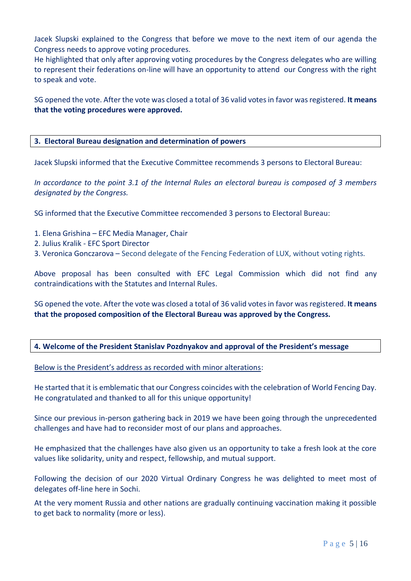Jacek Slupski explained to the Congress that before we move to the next item of our agenda the Congress needs to approve voting procedures.

He highlighted that only after approving voting procedures by the Congress delegates who are willing to represent their federations on-line will have an opportunity to attend our Congress with the right to speak and vote.

SG opened the vote. After the vote was closed a total of 36 valid votes in favor was registered. **It means that the voting procedures were approved.** 

## **3. Electoral Bureau designation and determination of powers**

Jacek Slupski informed that the Executive Committee recommends 3 persons to Electoral Bureau:

*In accordance to the point 3.1 of the Internal Rules an electoral bureau is composed of 3 members designated by the Congress.*

SG informed that the Executive Committee reccomended 3 persons to Electoral Bureau:

- 1. Elena Grishina EFC Media Manager, Chair
- 2. Julius Kralik EFC Sport Director
- 3. Veronica Gonczarova Second delegate of the Fencing Federation of LUX, without voting rights.

Above proposal has been consulted with EFC Legal Commission which did not find any contraindications with the Statutes and Internal Rules.

SG opened the vote. After the vote was closed a total of 36 valid votes in favor was registered. It means **that the proposed composition of the Electoral Bureau was approved by the Congress.**

## **4. Welcome of the President Stanislav Pozdnyakov and approval of the President's message**

Below is the President's address as recorded with minor alterations:

He started that it is emblematic that our Congress coincides with the celebration of World Fencing Day. He congratulated and thanked to all for this unique opportunity!

Since our previous in-person gathering back in 2019 we have been going through the unprecedented challenges and have had to reconsider most of our plans and approaches.

He emphasized that the challenges have also given us an opportunity to take a fresh look at the core values like solidarity, unity and respect, fellowship, and mutual support.

Following the decision of our 2020 Virtual Ordinary Congress he was delighted to meet most of delegates off-line here in Sochi.

At the very moment Russia and other nations are gradually continuing vaccination making it possible to get back to normality (more or less).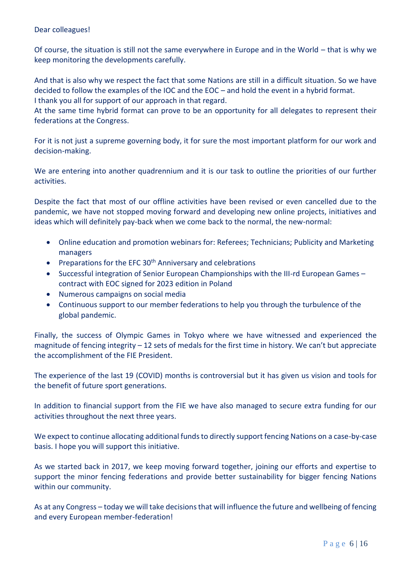## Dear colleagues!

Of course, the situation is still not the same everywhere in Europe and in the World – that is why we keep monitoring the developments carefully.

And that is also why we respect the fact that some Nations are still in a difficult situation. So we have decided to follow the examples of the IOC and the EOC – and hold the event in a hybrid format. I thank you all for support of our approach in that regard.

At the same time hybrid format can prove to be an opportunity for all delegates to represent their federations at the Congress.

For it is not just a supreme governing body, it for sure the most important platform for our work and decision-making.

We are entering into another quadrennium and it is our task to outline the priorities of our further activities.

Despite the fact that most of our offline activities have been revised or even cancelled due to the pandemic, we have not stopped moving forward and developing new online projects, initiatives and ideas which will definitely pay-back when we come back to the normal, the new-normal:

- Online education and promotion webinars for: Referees; Technicians; Publicity and Marketing managers
- Preparations for the EFC  $30<sup>th</sup>$  Anniversary and celebrations
- Successful integration of Senior European Championships with the III-rd European Games contract with EOC signed for 2023 edition in Poland
- Numerous campaigns on social media
- Continuous support to our member federations to help you through the turbulence of the global pandemic.

Finally, the success of Olympic Games in Tokyo where we have witnessed and experienced the magnitude of fencing integrity – 12 sets of medals for the first time in history. We can't but appreciate the accomplishment of the FIE President.

The experience of the last 19 (COVID) months is controversial but it has given us vision and tools for the benefit of future sport generations.

In addition to financial support from the FIE we have also managed to secure extra funding for our activities throughout the next three years.

We expect to continue allocating additional funds to directly support fencing Nations on a case-by-case basis. I hope you will support this initiative.

As we started back in 2017, we keep moving forward together, joining our efforts and expertise to support the minor fencing federations and provide better sustainability for bigger fencing Nations within our community.

As at any Congress – today we will take decisions that will influence the future and wellbeing of fencing and every European member-federation!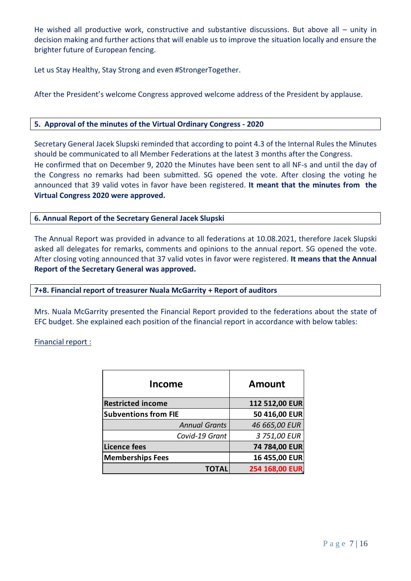He wished all productive work, constructive and substantive discussions. But above all  $-$  unity in decision making and further actions that will enable us to improve the situation locally and ensure the brighter future of European fencing.

Let us Stay Healthy, Stay Strong and even #StrongerTogether.

After the President's welcome Congress approved welcome address of the President by applause.

## **5. Approval of the minutes of the Virtual Ordinary Congress - 2020**

Secretary General Jacek Slupski reminded that according to point 4.3 of the Internal Rules the Minutes should be communicated to all Member Federations at the latest 3 months after the Congress. He confirmed that on December 9, 2020 the Minutes have been sent to all NF-s and until the day of the Congress no remarks had been submitted. SG opened the vote. After closing the voting he announced that 39 valid votes in favor have been registered. **It meant that the minutes from the Virtual Congress 2020 were approved.**

## **6. Annual Report of the Secretary General Jacek Slupski**

The Annual Report was provided in advance to all federations at 10.08.2021, therefore Jacek Slupski asked all delegates for remarks, comments and opinions to the annual report. SG opened the vote. After closing voting announced that 37 valid votes in favor were registered. **It means that the Annual Report of the Secretary General was approved.**

## **7+8. Financial report of treasurer Nuala McGarrity + Report of auditors**

Mrs. Nuala McGarrity presented the Financial Report provided to the federations about the state of EFC budget. She explained each position of the financial report in accordance with below tables:

## Financial report :

| Income                      | <b>Amount</b>  |  |  |
|-----------------------------|----------------|--|--|
| <b>Restricted income</b>    | 112 512,00 EUR |  |  |
| <b>Subventions from FIE</b> | 50 416,00 EUR  |  |  |
| <b>Annual Grants</b>        | 46 665,00 EUR  |  |  |
| Covid-19 Grant              | 3 751,00 EUR   |  |  |
| <b>Licence fees</b>         | 74 784,00 EUR  |  |  |
| <b>Memberships Fees</b>     | 16 455,00 EUR  |  |  |
|                             | 254 168,00 EUR |  |  |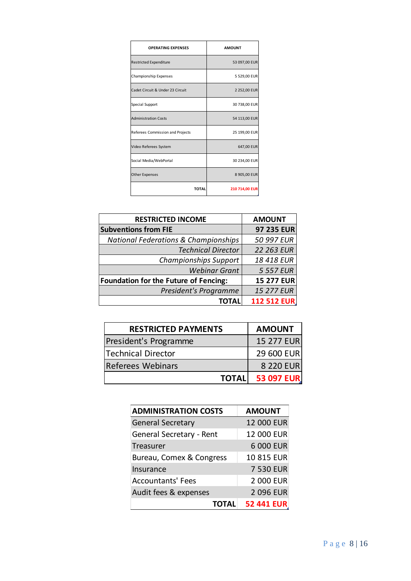| <b>OPERATING EXPENSES</b>        | <b>AMOUNT</b>  |
|----------------------------------|----------------|
| <b>Restricted Expenditure</b>    | 53 097,00 EUR  |
| Championship Expenses            | 5 529,00 EUR   |
| Cadet Circuit & Under 23 Circuit | 2 252,00 EUR   |
| Special Support                  | 30 738,00 EUR  |
| <b>Administration Costs</b>      | 54 113,00 EUR  |
| Referees Commission and Projects | 25 199,00 EUR  |
| Video Referees System            | 647,00 EUR     |
| Social Media/WebPortal           | 30 234,00 EUR  |
| <b>Other Expenses</b>            | 8 905,00 EUR   |
| <b>TOTAL</b>                     | 210 714,00 EUR |

| <b>RESTRICTED INCOME</b>                        | <b>AMOUNT</b>      |  |
|-------------------------------------------------|--------------------|--|
| <b>Subventions from FIE</b>                     | 97 235 EUR         |  |
| <b>National Federations &amp; Championships</b> | 50 997 EUR         |  |
| <b>Technical Director</b>                       | 22 263 EUR         |  |
| <b>Championships Support</b>                    | 18 418 EUR         |  |
| <b>Webinar Grant</b>                            | 5 557 EUR          |  |
| <b>Foundation for the Future of Fencing:</b>    | <b>15 277 EUR</b>  |  |
| President's Programme                           | <b>15 277 EUR</b>  |  |
| TOTAL                                           | <b>112 512 EUR</b> |  |

| <b>RESTRICTED PAYMENTS</b> | <b>AMOUNT</b> |
|----------------------------|---------------|
| President's Programme      | 15 277 EUR    |
| Technical Director         | 29 600 EUR    |
| <b>Referees Webinars</b>   | 8 220 EUR     |
| <b>TOTALI</b>              | 53 097 EUR    |

| <b>ADMINISTRATION COSTS</b>     | <b>AMOUNT</b>     |
|---------------------------------|-------------------|
| <b>General Secretary</b>        | 12 000 EUR        |
| <b>General Secretary - Rent</b> | <b>12 000 EUR</b> |
| Treasurer                       | 6 000 EUR         |
| Bureau, Comex & Congress        | 10 815 EUR        |
| Insurance                       | 7 530 EUR         |
| <b>Accountants' Fees</b>        | 2 000 EUR         |
| Audit fees & expenses           | 2 096 EUR         |
| <b>TOTAL</b>                    | <b>52 441 EUR</b> |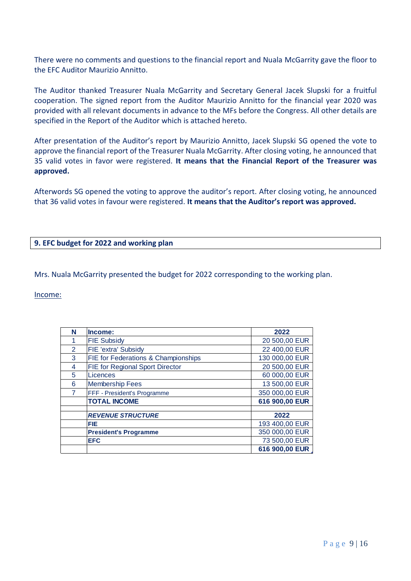There were no comments and questions to the financial report and Nuala McGarrity gave the floor to the EFC Auditor Maurizio Annitto.

The Auditor thanked Treasurer Nuala McGarrity and Secretary General Jacek Slupski for a fruitful cooperation. The signed report from the Auditor Maurizio Annitto for the financial year 2020 was provided with all relevant documents in advance to the MFs before the Congress. All other details are specified in the Report of the Auditor which is attached hereto.

After presentation of the Auditor's report by Maurizio Annitto, Jacek Slupski SG opened the vote to approve the financial report of the Treasurer Nuala McGarrity. After closing voting, he announced that 35 valid votes in favor were registered. **It means that the Financial Report of the Treasurer was approved.**

Afterwords SG opened the voting to approve the auditor's report. After closing voting, he announced that 36 valid votes in favour were registered. **It means that the Auditor's report was approved.**

# **9. EFC budget for 2022 and working plan**

Mrs. Nuala McGarrity presented the budget for 2022 corresponding to the working plan.

## Income:

| N | Income:                                        | 2022           |
|---|------------------------------------------------|----------------|
|   | <b>FIE Subsidy</b>                             | 20 500,00 EUR  |
| 2 | FIE 'extra' Subsidy                            | 22 400,00 EUR  |
| 3 | <b>FIE for Federations &amp; Championships</b> | 130 000,00 EUR |
| 4 | <b>FIE for Regional Sport Director</b>         | 20 500,00 EUR  |
| 5 | Licences                                       | 60 000,00 EUR  |
| 6 | <b>Membership Fees</b>                         | 13 500,00 EUR  |
|   | FFF - President's Programme                    | 350 000,00 EUR |
|   | <b>TOTAL INCOME</b>                            | 616 900,00 EUR |
|   |                                                |                |
|   | <b>REVENUE STRUCTURE</b>                       | 2022           |
|   | <b>FIE</b>                                     | 193 400,00 EUR |
|   | <b>President's Programme</b>                   | 350 000,00 EUR |
|   | <b>EFC</b>                                     | 73 500,00 EUR  |
|   |                                                | 616 900,00 EUR |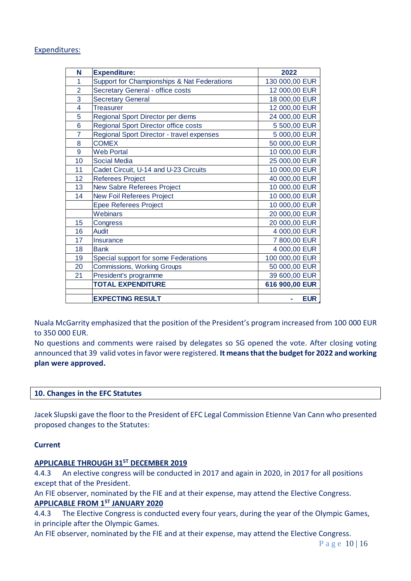## Expenditures:

|                                                    | N               | <b>Expenditure:</b>                                                                                                                                                                        | 2022            |  |
|----------------------------------------------------|-----------------|--------------------------------------------------------------------------------------------------------------------------------------------------------------------------------------------|-----------------|--|
|                                                    | 1               | Support for Championships & Nat Federations                                                                                                                                                | 130 000,00 EUR  |  |
| $\overline{2}$<br>Secretary General - office costs |                 | 12 000,00 EUR                                                                                                                                                                              |                 |  |
| 3<br><b>Secretary General</b>                      |                 | 18 000,00 EUR                                                                                                                                                                              |                 |  |
| 4<br><b>Treasurer</b>                              |                 |                                                                                                                                                                                            | 12 000,00 EUR   |  |
|                                                    | 5               | Regional Sport Director per diems                                                                                                                                                          | 24 000,00 EUR   |  |
|                                                    | 6               | Regional Sport Director office costs                                                                                                                                                       | 5 500,00 EUR    |  |
|                                                    | $\overline{7}$  | Regional Sport Director - travel expenses                                                                                                                                                  | 5 000,00 EUR    |  |
|                                                    | 8               | <b>COMEX</b>                                                                                                                                                                               | 50 000,00 EUR   |  |
|                                                    | 9               | <b>Web Portal</b>                                                                                                                                                                          | 10 000,00 EUR   |  |
|                                                    | 10              | <b>Social Media</b>                                                                                                                                                                        | 25 000,00 EUR   |  |
|                                                    | 11              | Cadet Circuit, U-14 and U-23 Circuits                                                                                                                                                      | 10 000,00 EUR   |  |
|                                                    | 12              | <b>Referees Project</b>                                                                                                                                                                    | 40 000,00 EUR   |  |
|                                                    | 13              | New Sabre Referees Project                                                                                                                                                                 | 10 000,00 EUR   |  |
|                                                    | 14              | <b>New Foil Referees Project</b>                                                                                                                                                           | 10 000,00 EUR   |  |
|                                                    |                 | <b>Epee Referees Project</b>                                                                                                                                                               | 10 000,00 EUR   |  |
|                                                    |                 | Webinars                                                                                                                                                                                   | 20 000,00 EUR   |  |
|                                                    | 15              | Congress                                                                                                                                                                                   | 20 000,00 EUR   |  |
|                                                    | 16              | <b>Audit</b>                                                                                                                                                                               | 4 000,00 EUR    |  |
|                                                    | 17 <sub>2</sub> | Insurance                                                                                                                                                                                  | 7 800,00 EUR    |  |
|                                                    | 18              | <b>Bank</b>                                                                                                                                                                                | 4 000,00 EUR    |  |
|                                                    | 19              | Special support for some Federations                                                                                                                                                       | 100 000,00 EUR  |  |
|                                                    | 20              | <b>Commissions, Working Groups</b>                                                                                                                                                         | 50 000,00 EUR   |  |
|                                                    | 21              | President's programme                                                                                                                                                                      | 39 600,00 EUR   |  |
|                                                    |                 | <b>TOTAL EXPENDITURE</b>                                                                                                                                                                   | 616 900,00 EUR  |  |
|                                                    |                 | <b>EXPECTING RESULT</b>                                                                                                                                                                    | <b>EUR</b><br>÷ |  |
| to 350 000 EUR.<br>plan were approved.             |                 | No questions and comments were raised by delegates so SG opened the vote. After closing<br>announced that 39 valid votes in favor were registered. It means that the budget for 2022 and v |                 |  |
|                                                    |                 | 10. Changes in the EFC Statutes                                                                                                                                                            |                 |  |
|                                                    |                 | Jacek Slupski gave the floor to the President of EFC Legal Commission Etienne Van Cann who pre<br>proposed changes to the Statutes:                                                        |                 |  |
| <b>Current</b>                                     |                 |                                                                                                                                                                                            |                 |  |
|                                                    |                 | APPLICABLE THROUGH 31 <sup>ST</sup> DECEMBER 2019                                                                                                                                          |                 |  |
| 4.4.3                                              |                 | An elective congress will be conducted in 2017 and again in 2020, in 2017 for all position                                                                                                 |                 |  |
|                                                    |                 | except that of the President.                                                                                                                                                              |                 |  |
|                                                    |                 | An FIE observer, nominated by the FIE and at their expense, may attend the Elective Congress.                                                                                              |                 |  |
|                                                    |                 |                                                                                                                                                                                            |                 |  |
|                                                    |                 | <b>APPLICABLE FROM 1ST JANUARY 2020</b>                                                                                                                                                    |                 |  |
|                                                    |                 | 4.4.3 The Elective Congress is conducted every four years, during the year of the Olympic Ga                                                                                               |                 |  |
|                                                    |                 | in principle after the Olympic Games.                                                                                                                                                      |                 |  |
|                                                    |                 | An FIE observer, nominated by the FIE and at their expense, may attend the Elective Congress.                                                                                              |                 |  |

Nuala McGarrity emphasized that the position of the President's program increased from 100 000 EUR to 350 000 EUR.

No questions and comments were raised by delegates so SG opened the vote. After closing voting announced that 39 valid votes in favor were registered. **It means that the budget for 2022 and working plan were approved.**

|  |  |  |  |  | 10. Changes in the EFC Statutes |
|--|--|--|--|--|---------------------------------|
|--|--|--|--|--|---------------------------------|

Jacek Slupski gave the floor to the President of EFC Legal Commission Etienne Van Cann who presented proposed changes to the Statutes:

## **Current**

## **APPLICABLE THROUGH 31ST DECEMBER 2019**

4.4.3 The Elective Congress is conducted every four years, during the year of the Olympic Games, in principle after the Olympic Games.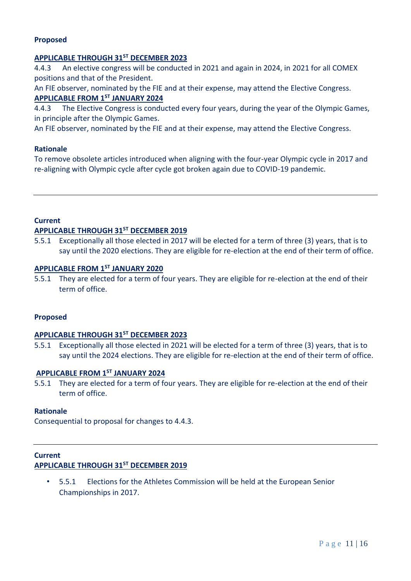## **Proposed**

## **APPLICABLE THROUGH 31ST DECEMBER 2023**

4.4.3 An elective congress will be conducted in 2021 and again in 2024, in 2021 for all COMEX positions and that of the President.

An FIE observer, nominated by the FIE and at their expense, may attend the Elective Congress. **APPLICABLE FROM 1ST JANUARY 2024**

4.4.3 The Elective Congress is conducted every four years, during the year of the Olympic Games, in principle after the Olympic Games.

An FIE observer, nominated by the FIE and at their expense, may attend the Elective Congress.

## **Rationale**

To remove obsolete articles introduced when aligning with the four-year Olympic cycle in 2017 and re-aligning with Olympic cycle after cycle got broken again due to COVID-19 pandemic.

## **Current**

## **APPLICABLE THROUGH 31ST DECEMBER 2019**

5.5.1 Exceptionally all those elected in 2017 will be elected for a term of three (3) years, that is to say until the 2020 elections. They are eligible for re-election at the end of their term of office.

# **APPLICABLE FROM 1ST JANUARY 2020**

5.5.1 They are elected for a term of four years. They are eligible for re-election at the end of their term of office.

## **Proposed**

## **APPLICABLE THROUGH 31ST DECEMBER 2023**

5.5.1 Exceptionally all those elected in 2021 will be elected for a term of three (3) years, that is to say until the 2024 elections. They are eligible for re-election at the end of their term of office.

## **APPLICABLE FROM 1ST JANUARY 2024**

5.5.1 They are elected for a term of four years. They are eligible for re-election at the end of their term of office.

## **Rationale**

Consequential to proposal for changes to 4.4.3.

# **Current APPLICABLE THROUGH 31ST DECEMBER 2019**

• 5.5.1 Elections for the Athletes Commission will be held at the European Senior Championships in 2017.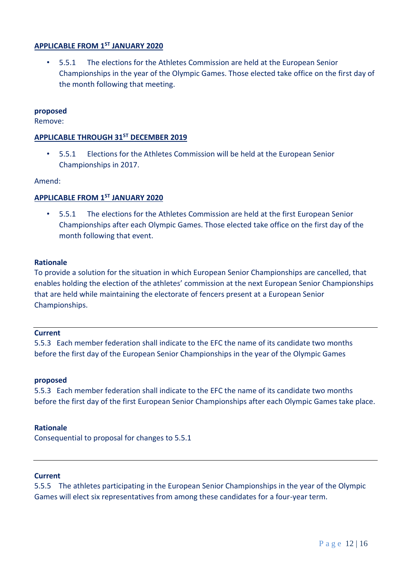## **APPLICABLE FROM 1ST JANUARY 2020**

• 5.5.1 The elections for the Athletes Commission are held at the European Senior Championships in the year of the Olympic Games. Those elected take office on the first day of the month following that meeting.

## **proposed**

Remove:

## **APPLICABLE THROUGH 31ST DECEMBER 2019**

• 5.5.1 Elections for the Athletes Commission will be held at the European Senior Championships in 2017.

#### Amend:

## **APPLICABLE FROM 1ST JANUARY 2020**

• 5.5.1 The elections for the Athletes Commission are held at the first European Senior Championships after each Olympic Games. Those elected take office on the first day of the month following that event.

#### **Rationale**

To provide a solution for the situation in which European Senior Championships are cancelled, that enables holding the election of the athletes' commission at the next European Senior Championships that are held while maintaining the electorate of fencers present at a European Senior Championships.

#### **Current**

5.5.3 Each member federation shall indicate to the EFC the name of its candidate two months before the first day of the European Senior Championships in the year of the Olympic Games

## **proposed**

5.5.3 Each member federation shall indicate to the EFC the name of its candidate two months before the first day of the first European Senior Championships after each Olympic Games take place.

#### **Rationale**

Consequential to proposal for changes to 5.5.1

#### **Current**

5.5.5 The athletes participating in the European Senior Championships in the year of the Olympic Games will elect six representatives from among these candidates for a four-year term.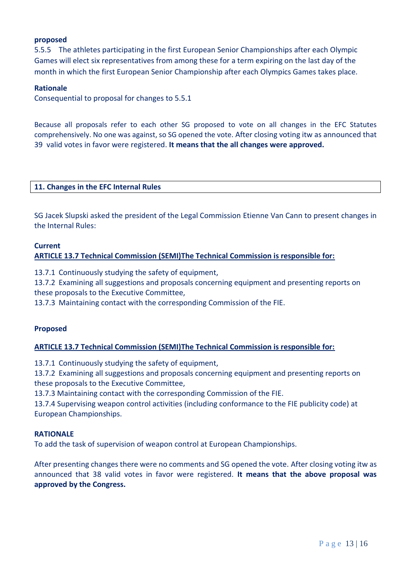## **proposed**

5.5.5 The athletes participating in the first European Senior Championships after each Olympic Games will elect six representatives from among these for a term expiring on the last day of the month in which the first European Senior Championship after each Olympics Games takes place.

#### **Rationale**

Consequential to proposal for changes to 5.5.1

Because all proposals refer to each other SG proposed to vote on all changes in the EFC Statutes comprehensively. No one was against, so SG opened the vote. After closing voting itw as announced that 39 valid votes in favor were registered. **It means that the all changes were approved.**

## **11. Changes in the EFC Internal Rules**

SG Jacek Slupski asked the president of the Legal Commission Etienne Van Cann to present changes in the Internal Rules:

## **Current**

## **ARTICLE 13.7 Technical Commission (SEMI)The Technical Commission is responsible for:**

13.7.1 Continuously studying the safety of equipment,

13.7.2 Examining all suggestions and proposals concerning equipment and presenting reports on these proposals to the Executive Committee,

13.7.3 Maintaining contact with the corresponding Commission of the FIE.

## **Proposed**

## **ARTICLE 13.7 Technical Commission (SEMI)The Technical Commission is responsible for:**

13.7.1 Continuously studying the safety of equipment,

13.7.2 Examining all suggestions and proposals concerning equipment and presenting reports on these proposals to the Executive Committee,

13.7.3 Maintaining contact with the corresponding Commission of the FIE.

13.7.4 Supervising weapon control activities (including conformance to the FIE publicity code) at European Championships.

## **RATIONALE**

To add the task of supervision of weapon control at European Championships.

After presenting changes there were no comments and SG opened the vote. After closing voting itw as announced that 38 valid votes in favor were registered. **It means that the above proposal was approved by the Congress.**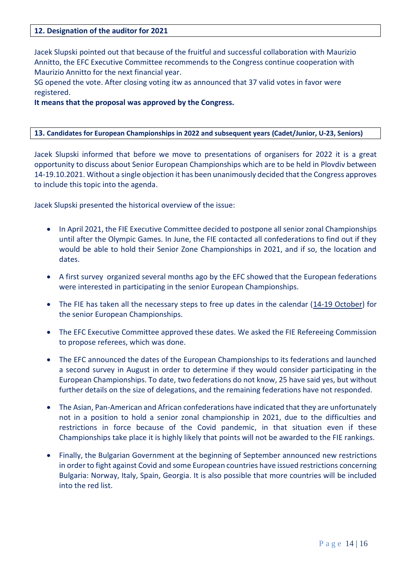## **12. Designation of the auditor for 2021**

Jacek Slupski pointed out that because of the fruitful and successful collaboration with Maurizio Annitto, the EFC Executive Committee recommends to the Congress continue cooperation with Maurizio Annitto for the next financial year.

SG opened the vote. After closing voting itw as announced that 37 valid votes in favor were registered.

## **It means that the proposal was approved by the Congress.**

## **13. Candidates for European Championships in 2022 and subsequent years (Cadet/Junior, U-23, Seniors)**

Jacek Slupski informed that before we move to presentations of organisers for 2022 it is a great opportunity to discuss about Senior European Championships which are to be held in Plovdiv between 14-19.10.2021. Without a single objection it has been unanimously decided that the Congress approves to include this topic into the agenda.

Jacek Slupski presented the historical overview of the issue:

- In April 2021, the FIE Executive Committee decided to postpone all senior zonal Championships until after the Olympic Games. In June, the FIE contacted all confederations to find out if they would be able to hold their Senior Zone Championships in 2021, and if so, the location and dates.
- A first survey organized several months ago by the EFC showed that the European federations were interested in participating in the senior European Championships.
- The FIE has taken all the necessary steps to free up dates in the calendar (14-19 October) for the senior European Championships.
- The EFC Executive Committee approved these dates. We asked the FIE Refereeing Commission to propose referees, which was done.
- The EFC announced the dates of the European Championships to its federations and launched a second survey in August in order to determine if they would consider participating in the European Championships. To date, two federations do not know, 25 have said yes, but without further details on the size of delegations, and the remaining federations have not responded.
- The Asian, Pan-American and African confederations have indicated that they are unfortunately not in a position to hold a senior zonal championship in 2021, due to the difficulties and restrictions in force because of the Covid pandemic, in that situation even if these Championships take place it is highly likely that points will not be awarded to the FIE rankings.
- Finally, the Bulgarian Government at the beginning of September announced new restrictions in order to fight against Covid and some European countries have issued restrictions concerning Bulgaria: Norway, Italy, Spain, Georgia. It is also possible that more countries will be included into the red list.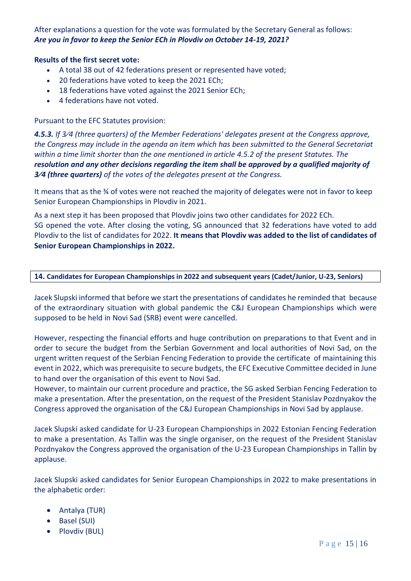After explanations a question for the vote was formulated by the Secretary General as follows: *Are you in favor to keep the Senior ECh in Plovdiv on October 14-19, 2021?* 

## **Results of the first secret vote:**

- A total 38 out of 42 federations present or represented have voted;
- 20 federations have voted to keep the 2021 ECh;
- 18 federations have voted against the 2021 Senior ECh;
- 4 federations have not voted.

## Pursuant to the EFC Statutes provision:

*4.5.3. If 3⁄4 (three quarters) of the Member Federations' delegates present at the Congress approve, the Congress may include in the agenda an item which has been submitted to the General Secretariat within a time limit shorter than the one mentioned in article 4.5.2 of the present Statutes. The resolution and any other decisions regarding the item shall be approved by a qualified majority of 3⁄4 (three quarters) of the votes of the delegates present at the Congress.*

It means that as the 34 of votes were not reached the majority of delegates were not in favor to keep Senior European Championships in Plovdiv in 2021.

As a next step it has been proposed that Plovdiv joins two other candidates for 2022 ECh. SG opened the vote. After closing the voting, SG announced that 32 federations have voted to add Plovdiv to the list of candidates for 2022. **It means that Plovdiv was added to the list of candidates of Senior European Championships in 2022.** 

## **14. Candidates for European Championships in 2022 and subsequent years (Cadet/Junior, U-23, Seniors)**

Jacek Slupski informed that before we start the presentations of candidates he reminded that because of the extraordinary situation with global pandemic the C&J European Championships which were supposed to be held in Novi Sad (SRB) event were cancelled.

However, respecting the financial efforts and huge contribution on preparations to that Event and in order to secure the budget from the Serbian Government and local authorities of Novi Sad, on the urgent written request of the Serbian Fencing Federation to provide the certificate of maintaining this event in 2022, which was prerequisite to secure budgets, the EFC Executive Committee decided in June to hand over the organisation of this event to Novi Sad.

However, to maintain our current procedure and practice, the SG asked Serbian Fencing Federation to make a presentation. After the presentation, on the request of the President Stanislav Pozdnyakov the Congress approved the organisation of the C&J European Championships in Novi Sad by applause.

Jacek Slupski asked candidate for U-23 European Championships in 2022 Estonian Fencing Federation to make a presentation. As Tallin was the single organiser, on the request of the President Stanislav Pozdnyakov the Congress approved the organisation of the U-23 European Championships in Tallin by applause.

Jacek Slupski asked candidates for Senior European Championships in 2022 to make presentations in the alphabetic order:

- Antalya (TUR)
- Basel (SUI)
- Plovdiv (BUL)